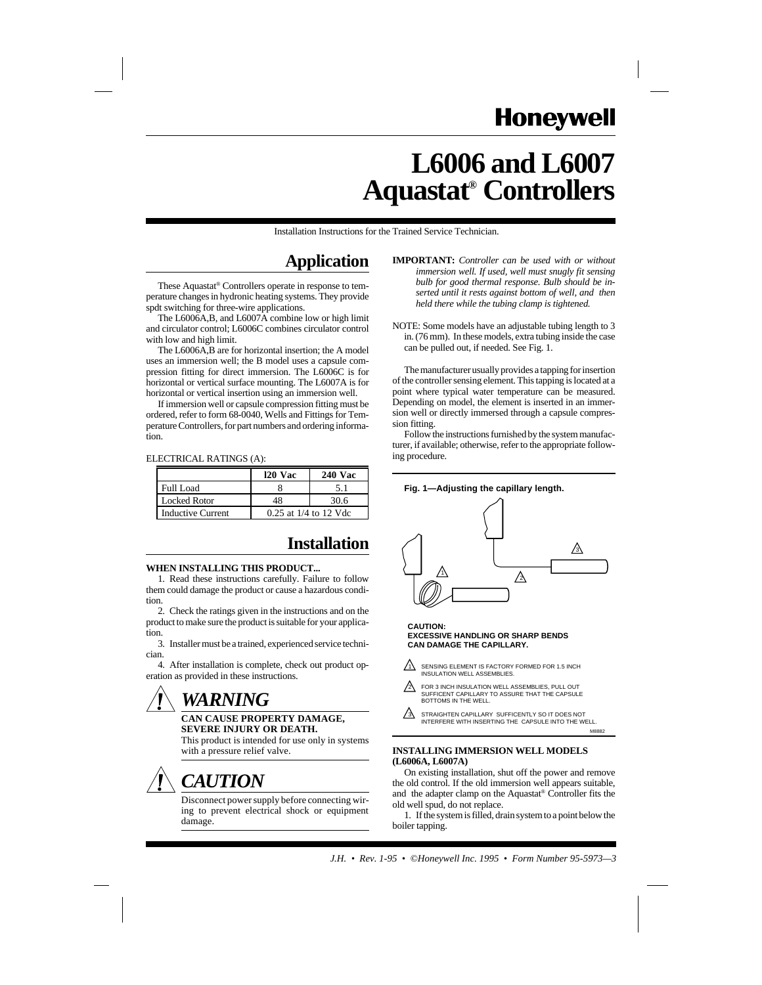# **Honeywell**

# **L6006 and L6007 Aquastat® Controllers**

Installation Instructions for the Trained Service Technician.

## **Application**

These Aquastat® Controllers operate in response to temperature changes in hydronic heating systems. They provide spdt switching for three-wire applications.

The L6006A,B, and L6007A combine low or high limit and circulator control; L6006C combines circulator control with low and high limit.

The L6006A,B are for horizontal insertion; the A model uses an immersion well; the B model uses a capsule compression fitting for direct immersion. The L6006C is for horizontal or vertical surface mounting. The L6007A is for horizontal or vertical insertion using an immersion well.

If immersion well or capsule compression fitting must be ordered, refer to form 68-0040, Wells and Fittings for Temperature Controllers, for part numbers and ordering information.

#### ELECTRICAL RATINGS (A):

|                          | <b>120 Vac</b>            | <b>240 Vac</b> |
|--------------------------|---------------------------|----------------|
| Full Load                |                           | 51             |
| <b>Locked Rotor</b>      | 48                        | 30 6           |
| <b>Inductive Current</b> | $0.25$ at $1/4$ to 12 Vdc |                |

### **Installation**

#### **WHEN INSTALLING THIS PRODUCT...**

1. Read these instructions carefully. Failure to follow them could damage the product or cause a hazardous condition.

2. Check the ratings given in the instructions and on the product to make sure the product is suitable for your application.

3. Installer must be a trained, experienced service technician.

4. After installation is complete, check out product operation as provided in these instructions.

*WARNING*



This product is intended for use only in systems with a pressure relief valve.



Disconnect power supply before connecting wiring to prevent electrical shock or equipment damage.

- **IMPORTANT:** *Controller can be used with or without immersion well. If used, well must snugly fit sensing bulb for good thermal response. Bulb should be inserted until it rests against bottom of well, and then held there while the tubing clamp is tightened.*
- NOTE: Some models have an adjustable tubing length to 3 in. (76 mm). In these models, extra tubing inside the case can be pulled out, if needed. See Fig. 1.

The manufacturer usually provides a tapping for insertion of the controller sensing element. This tapping is located at a point where typical water temperature can be measured. Depending on model, the element is inserted in an immersion well or directly immersed through a capsule compression fitting.

Follow the instructions furnished by the system manufacturer, if available; otherwise, refer to the appropriate following procedure.

#### **Fig. 1—Adjusting the capillary length.**



#### **CAUTION: EXCESSIVE HANDLING OR SHARP BENDS CAN DAMAGE THE CAPILLARY.**

- 1\ SENSING ELEMENT IS FACTORY FORMED FOR 1.5 INCH<br>INSULATION WELL ASSEMBLIES.
- FOR 3 INCH INSULATION WELL ASSEMBLIES, PULL OUT SUFFICENT CAPILLARY TO ASSURE THAT THE CAPSULE BOTTOMS IN THE WELL.  $\mathbb{Z}$
- M<sub>RRR2</sub> STRAIGHTEN CAPILLARY SUFFICENTLY SO IT DOES NOT INTERFERE WITH INSERTING THE CAPSULE INTO THE WELL.  $\Delta$

#### **INSTALLING IMMERSION WELL MODELS (L6006A, L6007A)**

On existing installation, shut off the power and remove the old control. If the old immersion well appears suitable, and the adapter clamp on the Aquastat® Controller fits the old well spud, do not replace.

1. If the system is filled, drain system to a point below the boiler tapping.

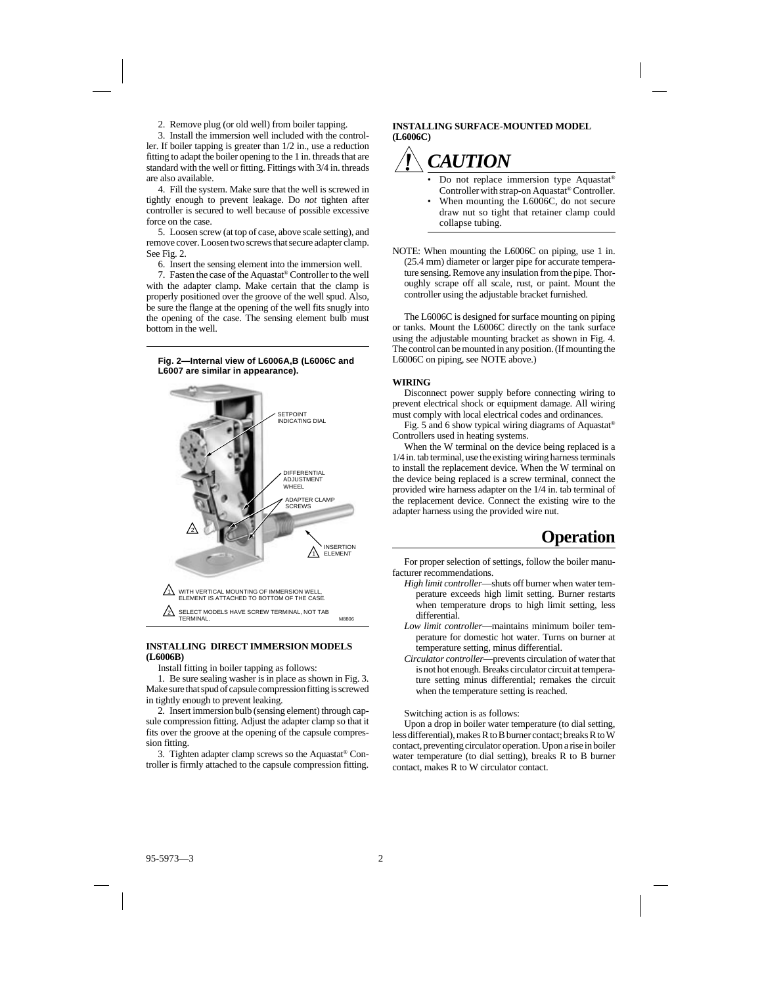2. Remove plug (or old well) from boiler tapping.

3. Install the immersion well included with the controller. If boiler tapping is greater than 1/2 in., use a reduction fitting to adapt the boiler opening to the 1 in. threads that are standard with the well or fitting. Fittings with 3/4 in. threads are also available.

4. Fill the system. Make sure that the well is screwed in tightly enough to prevent leakage. Do *not* tighten after controller is secured to well because of possible excessive force on the case.

5. Loosen screw (at top of case, above scale setting), and remove cover. Loosen two screws that secure adapter clamp. See Fig. 2.

6. Insert the sensing element into the immersion well.

7. Fasten the case of the Aquastat® Controller to the well with the adapter clamp. Make certain that the clamp is properly positioned over the groove of the well spud. Also, be sure the flange at the opening of the well fits snugly into the opening of the case. The sensing element bulb must bottom in the well.



#### **INSTALLING DIRECT IMMERSION MODELS (L6006B)**

Install fitting in boiler tapping as follows:

1. Be sure sealing washer is in place as shown in Fig. 3. Make sure that spud of capsule compression fitting is screwed in tightly enough to prevent leaking.

2. Insert immersion bulb (sensing element) through capsule compression fitting. Adjust the adapter clamp so that it fits over the groove at the opening of the capsule compression fitting.

3. Tighten adapter clamp screws so the Aquastat® Controller is firmly attached to the capsule compression fitting.

#### **INSTALLING SURFACE-MOUNTED MODEL (L6006C)**



- Do not replace immersion type Aquastat® Controller with strap-on Aquastat® Controller.
- When mounting the L6006C, do not secure draw nut so tight that retainer clamp could collapse tubing.
- NOTE: When mounting the L6006C on piping, use 1 in. (25.4 mm) diameter or larger pipe for accurate temperature sensing. Remove any insulation from the pipe. Thoroughly scrape off all scale, rust, or paint. Mount the controller using the adjustable bracket furnished.

The L6006C is designed for surface mounting on piping or tanks. Mount the L6006C directly on the tank surface using the adjustable mounting bracket as shown in Fig. 4. The control can be mounted in any position. (If mounting the L6006C on piping, see NOTE above.)

#### **WIRING**

Disconnect power supply before connecting wiring to prevent electrical shock or equipment damage. All wiring must comply with local electrical codes and ordinances.

Fig. 5 and 6 show typical wiring diagrams of Aquastat® Controllers used in heating systems.

When the W terminal on the device being replaced is a 1/4 in. tab terminal, use the existing wiring harness terminals to install the replacement device. When the W terminal on the device being replaced is a screw terminal, connect the provided wire harness adapter on the 1/4 in. tab terminal of the replacement device. Connect the existing wire to the adapter harness using the provided wire nut.

### **Operation**

For proper selection of settings, follow the boiler manufacturer recommendations.

- *High limit controller*—shuts off burner when water temperature exceeds high limit setting. Burner restarts when temperature drops to high limit setting, less differential.
- *Low limit controller*—maintains minimum boiler temperature for domestic hot water. Turns on burner at temperature setting, minus differential.
- *Circulator controller*—prevents circulation of water that is not hot enough. Breaks circulator circuit at temperature setting minus differential; remakes the circuit when the temperature setting is reached.

#### Switching action is as follows:

Upon a drop in boiler water temperature (to dial setting, less differential), makes R to B burner contact; breaks R to W contact, preventing circulator operation. Upon a rise in boiler water temperature (to dial setting), breaks R to B burner contact, makes R to W circulator contact.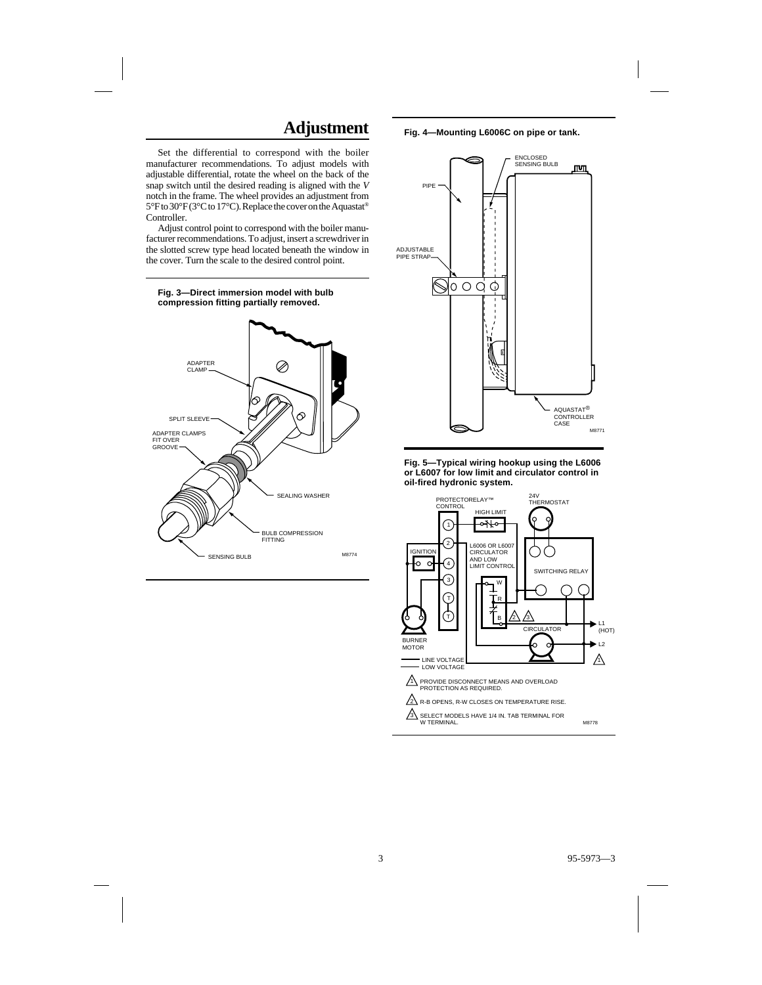# **Adjustment**

Set the differential to correspond with the boiler manufacturer recommendations. To adjust models with adjustable differential, rotate the wheel on the back of the snap switch until the desired reading is aligned with the *V* notch in the frame. The wheel provides an adjustment from 5°F to 30°F (3°C to 17°C). Replace the cover on the Aquastat® Controller.

Adjust control point to correspond with the boiler manufacturer recommendations. To adjust, insert a screwdriver in the slotted screw type head located beneath the window in the cover. Turn the scale to the desired control point.



**Fig. 4—Mounting L6006C on pipe or tank.**